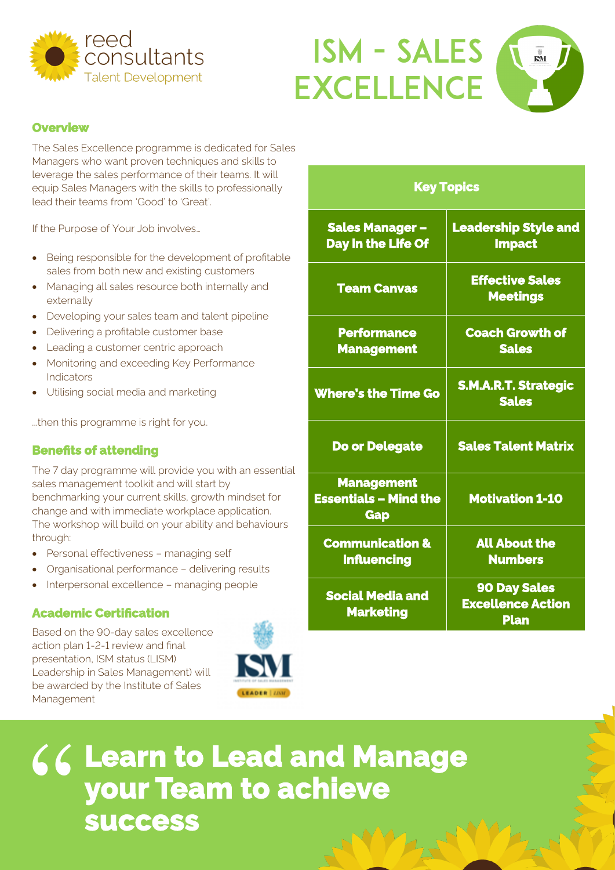



#### **Overview**

The Sales Excellence programme is dedicated for Sales Managers who want proven techniques and skills to leverage the sales performance of their teams. It will equip Sales Managers with the skills to professionally lead their teams from 'Good' to 'Great'.

If the Purpose of Your Job involves…

- Being responsible for the development of profitable sales from both new and existing customers
- Managing all sales resource both internally and externally
- Developing your sales team and talent pipeline
- Delivering a profitable customer base
- Leading a customer centric approach
- Monitoring and exceeding Key Performance **Indicators**
- Utilising social media and marketing

...then this programme is right for you.

### **Benefits of attending**

 The 7 day programme will provide you with an essential sales management toolkit and will start by benchmarking your current skills, growth mindset for change and with immediate workplace application. The workshop will build on your ability and behaviours through:

- Personal effectiveness managing self
- Organisational performance delivering results
- Interpersonal excellence managing people

### **Academic Certification**

 Based on the 90-day sales excellence action plan 1-2-1 review and final presentation, ISM status (LISM) Leadership in Sales Management) will be awarded by the Institute of Sales Management



| <b>Key Topics</b>                                               |                                                                |
|-----------------------------------------------------------------|----------------------------------------------------------------|
| <b>Sales Manager -</b><br>Day in the Life Of                    | <b>Leadership Style and</b><br><b>Impact</b>                   |
| <b>Team Canvas</b>                                              | <b>Effective Sales</b><br><b>Meetings</b>                      |
| <b>Performance</b><br><b>Management</b>                         | <b>Coach Growth of</b><br><b>Sales</b>                         |
| <b>Where's the Time Go</b>                                      | <b>S.M.A.R.T. Strategic</b><br><b>Sales</b>                    |
| <b>Do or Delegate</b>                                           | <b>Sales Talent Matrix</b>                                     |
| <b>Management</b><br><b>Essentials - Mind the</b><br><b>Gap</b> | <b>Motivation 1-10</b>                                         |
| <b>Communication &amp;</b><br><b>Influencing</b>                | <b>All About the</b><br><b>Numbers</b>                         |
| <b>Social Media and</b><br><b>Marketing</b>                     | <b>90 Day Sales</b><br><b>Excellence Action</b><br><b>Plan</b> |

# **Learn to Lead and Manage your Team to achieve**  " **success**